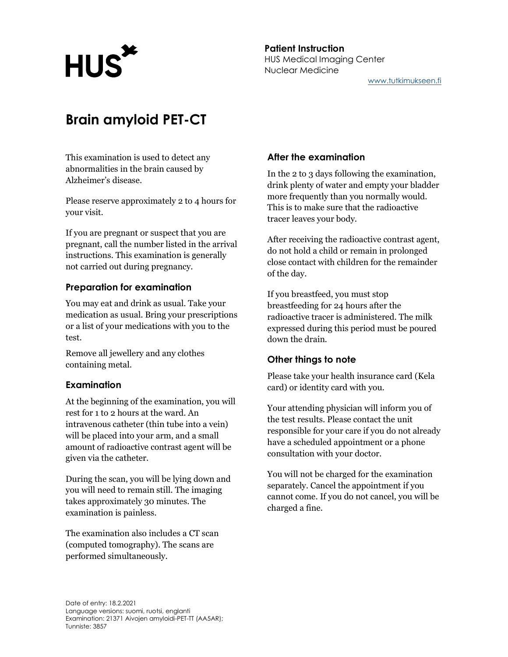

# Brain amyloid PET-CT

This examination is used to detect any abnormalities in the brain caused by Alzheimer's disease.

Please reserve approximately 2 to 4 hours for your visit.

If you are pregnant or suspect that you are pregnant, call the number listed in the arrival instructions. This examination is generally not carried out during pregnancy.

## Preparation for examination

You may eat and drink as usual. Take your medication as usual. Bring your prescriptions or a list of your medications with you to the test.

Remove all jewellery and any clothes containing metal.

#### Examination

At the beginning of the examination, you will rest for 1 to 2 hours at the ward. An intravenous catheter (thin tube into a vein) will be placed into your arm, and a small amount of radioactive contrast agent will be given via the catheter.

During the scan, you will be lying down and you will need to remain still. The imaging takes approximately 30 minutes. The examination is painless.

The examination also includes a CT scan (computed tomography). The scans are performed simultaneously.

### After the examination

In the 2 to 3 days following the examination, drink plenty of water and empty your bladder more frequently than you normally would. This is to make sure that the radioactive tracer leaves your body.

After receiving the radioactive contrast agent, do not hold a child or remain in prolonged close contact with children for the remainder of the day.

If you breastfeed, you must stop breastfeeding for 24 hours after the radioactive tracer is administered. The milk expressed during this period must be poured down the drain.

#### Other things to note

Please take your health insurance card (Kela card) or identity card with you.

Your attending physician will inform you of the test results. Please contact the unit responsible for your care if you do not already have a scheduled appointment or a phone consultation with your doctor.

You will not be charged for the examination separately. Cancel the appointment if you cannot come. If you do not cancel, you will be charged a fine.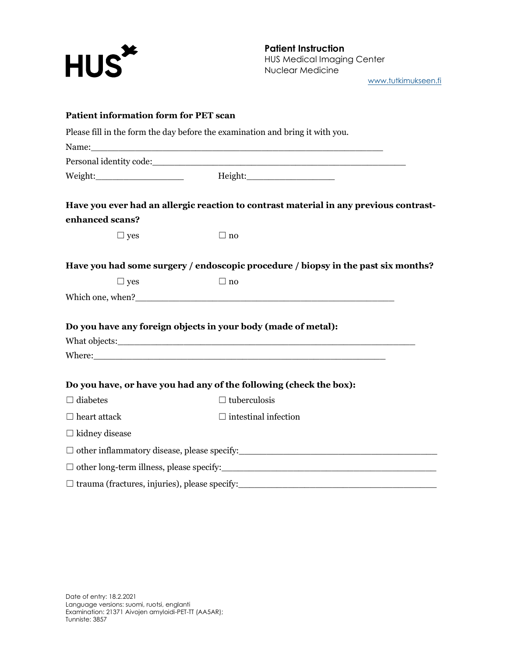

Patient Instruction HUS Medical Imaging Center Nuclear Medicine

www.tutkimukseen.fi

| <b>Patient information form for PET scan</b>         |                                                                                                          |
|------------------------------------------------------|----------------------------------------------------------------------------------------------------------|
|                                                      | Please fill in the form the day before the examination and bring it with you.                            |
|                                                      | Name: Name:                                                                                              |
|                                                      |                                                                                                          |
|                                                      |                                                                                                          |
|                                                      | Have you ever had an allergic reaction to contrast material in any previous contrast-                    |
| enhanced scans?                                      |                                                                                                          |
| $\Box$ yes                                           | $\Box$ no                                                                                                |
|                                                      | Have you had some surgery / endoscopic procedure / biopsy in the past six months?                        |
| $\Box$ yes                                           | $\Box$ no                                                                                                |
|                                                      |                                                                                                          |
|                                                      |                                                                                                          |
|                                                      | Do you have any foreign objects in your body (made of metal):                                            |
|                                                      |                                                                                                          |
|                                                      |                                                                                                          |
|                                                      | Do you have, or have you had any of the following (check the box):                                       |
| $\Box$ diabetes                                      | $\Box$ tuberculosis                                                                                      |
| $\Box$ heart attack                                  | $\Box$ intestinal infection                                                                              |
| $\Box$ kidney disease                                |                                                                                                          |
|                                                      | $\Box$ other inflammatory disease, please specify:<br>$\Box$ other inflammatory disease, please specify: |
|                                                      |                                                                                                          |
| $\Box$ trauma (fractures, injuries), please specify: | <u> 1980 - Johann Barn, mars and de Brasilian (b. 1980)</u>                                              |